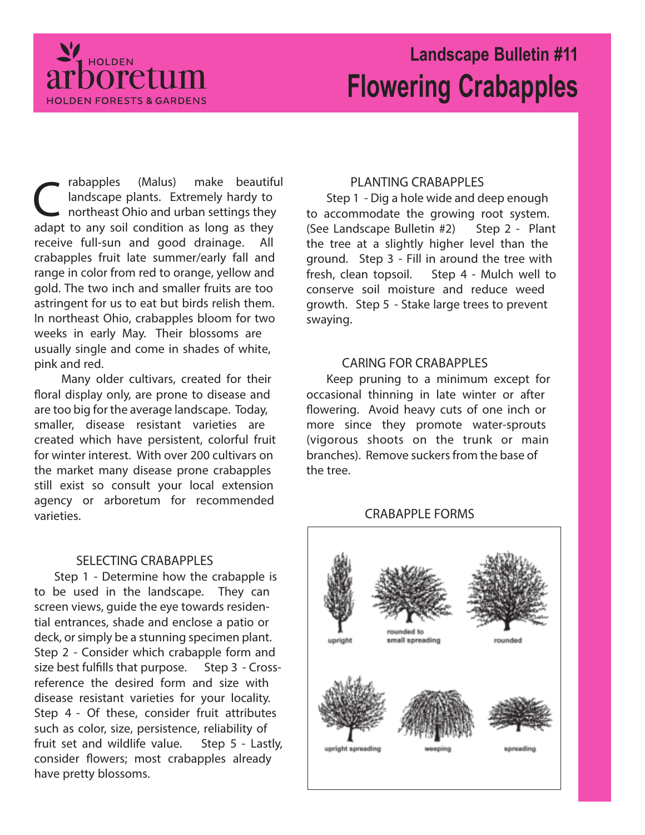

# **Landscape Bulletin #11 Flowering Crabapples**

rabapples (Malus) make beautif<br>
landscape plants. Extremely hardy to<br>
northeast Ohio and urban settings they<br>
adapt to any soil condition as long as they rabapples (Malus) make beautiful landscape plants. Extremely hardy to northeast Ohio and urban settings they receive full-sun and good drainage. All crabapples fruit late summer/early fall and range in color from red to orange, yellow and gold. The two inch and smaller fruits are too astringent for us to eat but birds relish them. In northeast Ohio, crabapples bloom for two weeks in early May. Their blossoms are usually single and come in shades of white, pink and red.

Many older cultivars, created for their floral display only, are prone to disease and are too big for the average landscape. Today, smaller, disease resistant varieties are created which have persistent, colorful fruit for winter interest. With over 200 cultivars on the market many disease prone crabapples still exist so consult your local extension agency or arboretum for recommended varieties.

# **SELECTING CRABAPPLES**

**Step 1** - Determine how the crabapple is to be used in the landscape. They can screen views, guide the eye towards residential entrances, shade and enclose a patio or deck, or simply be a stunning specimen plant. **Step 2** - Consider which crabapple form and size best fulfills that purpose. **Step 3** - Crossreference the desired form and size with disease resistant varieties for your locality. **Step 4** - Of these, consider fruit attributes such as color, size, persistence, reliability of fruit set and wildlife value. **Step 5** - Lastly, consider flowers; most crabapples already have pretty blossoms.

# **PLANTING CRABAPPLES**

**Step 1** - Dig a hole wide and deep enough to accommodate the growing root system. (See Landscape Bulletin #2) **Step 2** - Plant the tree at a slightly higher level than the ground. **Step 3** - Fill in around the tree with fresh, clean topsoil. **Step 4** - Mulch well to conserve soil moisture and reduce weed growth. **Step 5** - Stake large trees to prevent swaying.

## **CARING FOR CRABAPPLES**

Keep pruning to a minimum except for occasional thinning in late winter or after flowering. Avoid heavy cuts of one inch or more since they promote water-sprouts (vigorous shoots on the trunk or main branches). Remove suckers from the base of the tree.

# **CRABAPPLE FORMS**